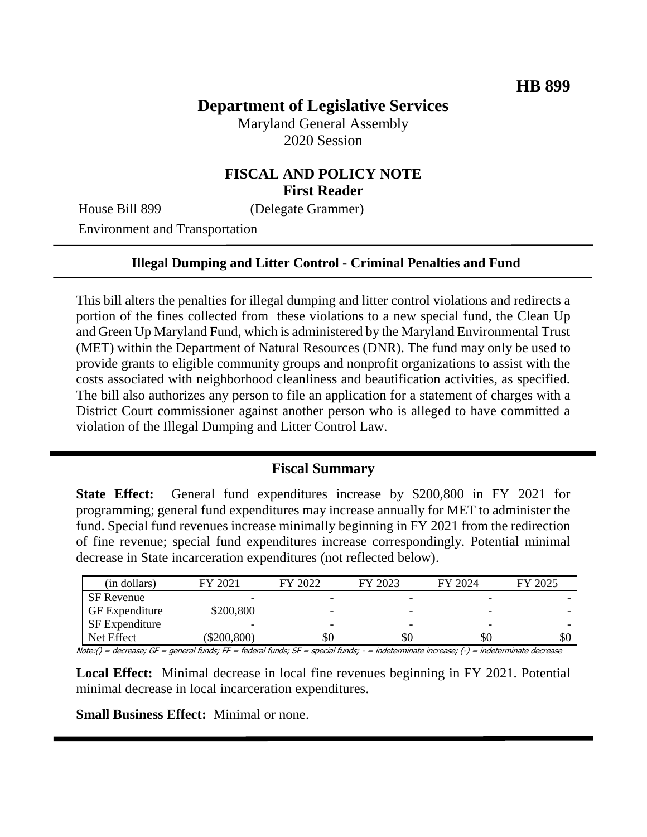# **Department of Legislative Services**

Maryland General Assembly 2020 Session

# **FISCAL AND POLICY NOTE First Reader**

House Bill 899 (Delegate Grammer)

Environment and Transportation

#### **Illegal Dumping and Litter Control - Criminal Penalties and Fund**

This bill alters the penalties for illegal dumping and litter control violations and redirects a portion of the fines collected from these violations to a new special fund, the Clean Up and Green Up Maryland Fund, which is administered by the Maryland Environmental Trust (MET) within the Department of Natural Resources (DNR). The fund may only be used to provide grants to eligible community groups and nonprofit organizations to assist with the costs associated with neighborhood cleanliness and beautification activities, as specified. The bill also authorizes any person to file an application for a statement of charges with a District Court commissioner against another person who is alleged to have committed a violation of the Illegal Dumping and Litter Control Law.

#### **Fiscal Summary**

**State Effect:** General fund expenditures increase by \$200,800 in FY 2021 for programming; general fund expenditures may increase annually for MET to administer the fund. Special fund revenues increase minimally beginning in FY 2021 from the redirection of fine revenue; special fund expenditures increase correspondingly. Potential minimal decrease in State incarceration expenditures (not reflected below).

| (in dollars)          | FY 2021        | FY 2022 | FY 2023 | FY 2024                  | FY 2025 |
|-----------------------|----------------|---------|---------|--------------------------|---------|
| <b>SF</b> Revenue     |                |         |         |                          |         |
| <b>GF</b> Expenditure | \$200,800      |         |         |                          |         |
| SF Expenditure        |                |         |         | $\overline{\phantom{0}}$ |         |
| Net Effect            | $(\$200, 800)$ | \$0     | \$θ     | \$Ο                      | \$0     |

Note:() = decrease; GF = general funds; FF = federal funds; SF = special funds; - = indeterminate increase; (-) = indeterminate decrease

**Local Effect:** Minimal decrease in local fine revenues beginning in FY 2021. Potential minimal decrease in local incarceration expenditures.

**Small Business Effect:** Minimal or none.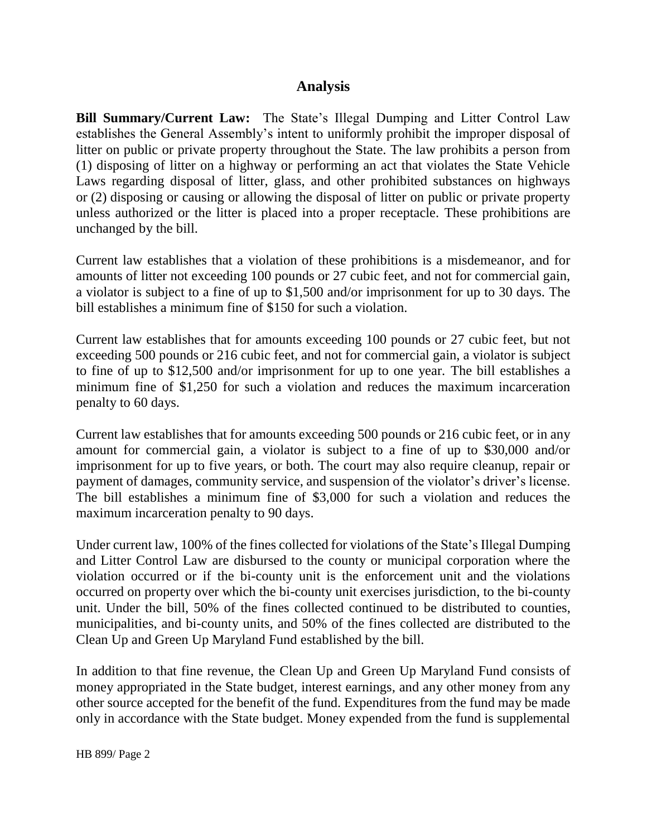## **Analysis**

**Bill Summary/Current Law:** The State's Illegal Dumping and Litter Control Law establishes the General Assembly's intent to uniformly prohibit the improper disposal of litter on public or private property throughout the State. The law prohibits a person from (1) disposing of litter on a highway or performing an act that violates the State Vehicle Laws regarding disposal of litter, glass, and other prohibited substances on highways or (2) disposing or causing or allowing the disposal of litter on public or private property unless authorized or the litter is placed into a proper receptacle. These prohibitions are unchanged by the bill.

Current law establishes that a violation of these prohibitions is a misdemeanor, and for amounts of litter not exceeding 100 pounds or 27 cubic feet, and not for commercial gain, a violator is subject to a fine of up to \$1,500 and/or imprisonment for up to 30 days. The bill establishes a minimum fine of \$150 for such a violation.

Current law establishes that for amounts exceeding 100 pounds or 27 cubic feet, but not exceeding 500 pounds or 216 cubic feet, and not for commercial gain, a violator is subject to fine of up to \$12,500 and/or imprisonment for up to one year. The bill establishes a minimum fine of \$1,250 for such a violation and reduces the maximum incarceration penalty to 60 days.

Current law establishes that for amounts exceeding 500 pounds or 216 cubic feet, or in any amount for commercial gain, a violator is subject to a fine of up to \$30,000 and/or imprisonment for up to five years, or both. The court may also require cleanup, repair or payment of damages, community service, and suspension of the violator's driver's license. The bill establishes a minimum fine of \$3,000 for such a violation and reduces the maximum incarceration penalty to 90 days.

Under current law, 100% of the fines collected for violations of the State's Illegal Dumping and Litter Control Law are disbursed to the county or municipal corporation where the violation occurred or if the bi-county unit is the enforcement unit and the violations occurred on property over which the bi-county unit exercises jurisdiction, to the bi-county unit. Under the bill, 50% of the fines collected continued to be distributed to counties, municipalities, and bi-county units, and 50% of the fines collected are distributed to the Clean Up and Green Up Maryland Fund established by the bill.

In addition to that fine revenue, the Clean Up and Green Up Maryland Fund consists of money appropriated in the State budget, interest earnings, and any other money from any other source accepted for the benefit of the fund. Expenditures from the fund may be made only in accordance with the State budget. Money expended from the fund is supplemental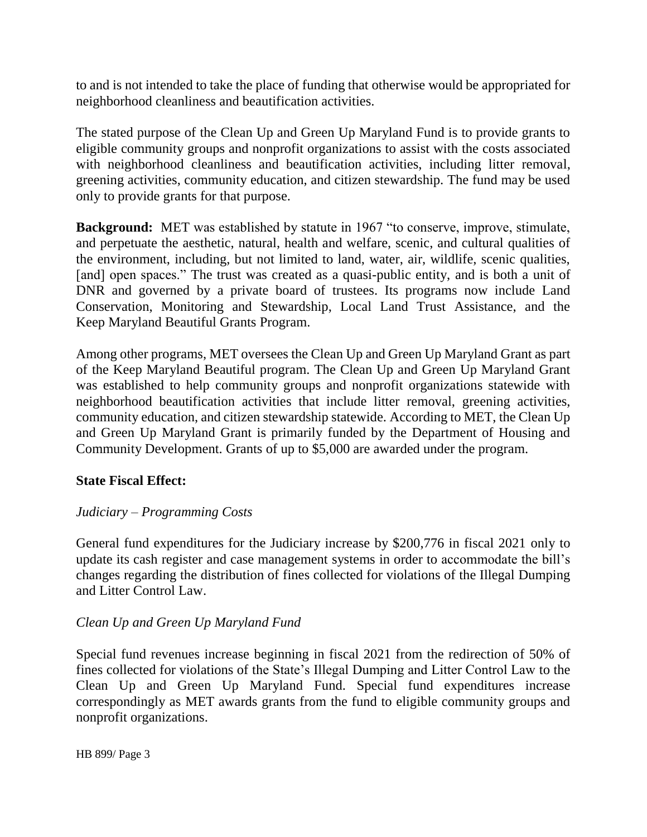to and is not intended to take the place of funding that otherwise would be appropriated for neighborhood cleanliness and beautification activities.

The stated purpose of the Clean Up and Green Up Maryland Fund is to provide grants to eligible community groups and nonprofit organizations to assist with the costs associated with neighborhood cleanliness and beautification activities, including litter removal, greening activities, community education, and citizen stewardship. The fund may be used only to provide grants for that purpose.

**Background:** MET was established by statute in 1967 "to conserve, improve, stimulate, and perpetuate the aesthetic, natural, health and welfare, scenic, and cultural qualities of the environment, including, but not limited to land, water, air, wildlife, scenic qualities, [and] open spaces." The trust was created as a quasi-public entity, and is both a unit of DNR and governed by a private board of trustees. Its programs now include Land Conservation, Monitoring and Stewardship, Local Land Trust Assistance, and the Keep Maryland Beautiful Grants Program.

Among other programs, MET oversees the Clean Up and Green Up Maryland Grant as part of the Keep Maryland Beautiful program. The Clean Up and Green Up Maryland Grant was established to help community groups and nonprofit organizations statewide with neighborhood beautification activities that include litter removal, greening activities, community education, and citizen stewardship statewide. According to MET, the Clean Up and Green Up Maryland Grant is primarily funded by the Department of Housing and Community Development. Grants of up to \$5,000 are awarded under the program.

### **State Fiscal Effect:**

### *Judiciary – Programming Costs*

General fund expenditures for the Judiciary increase by \$200,776 in fiscal 2021 only to update its cash register and case management systems in order to accommodate the bill's changes regarding the distribution of fines collected for violations of the Illegal Dumping and Litter Control Law.

### *Clean Up and Green Up Maryland Fund*

Special fund revenues increase beginning in fiscal 2021 from the redirection of 50% of fines collected for violations of the State's Illegal Dumping and Litter Control Law to the Clean Up and Green Up Maryland Fund. Special fund expenditures increase correspondingly as MET awards grants from the fund to eligible community groups and nonprofit organizations.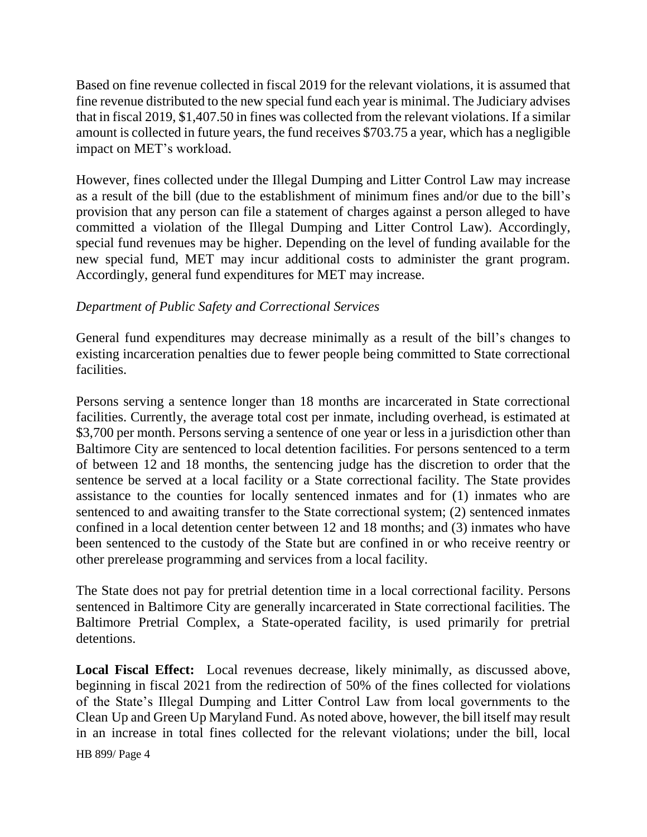Based on fine revenue collected in fiscal 2019 for the relevant violations, it is assumed that fine revenue distributed to the new special fund each year is minimal. The Judiciary advises that in fiscal 2019, \$1,407.50 in fines was collected from the relevant violations. If a similar amount is collected in future years, the fund receives \$703.75 a year, which has a negligible impact on MET's workload.

However, fines collected under the Illegal Dumping and Litter Control Law may increase as a result of the bill (due to the establishment of minimum fines and/or due to the bill's provision that any person can file a statement of charges against a person alleged to have committed a violation of the Illegal Dumping and Litter Control Law). Accordingly, special fund revenues may be higher. Depending on the level of funding available for the new special fund, MET may incur additional costs to administer the grant program. Accordingly, general fund expenditures for MET may increase.

### *Department of Public Safety and Correctional Services*

General fund expenditures may decrease minimally as a result of the bill's changes to existing incarceration penalties due to fewer people being committed to State correctional facilities.

Persons serving a sentence longer than 18 months are incarcerated in State correctional facilities. Currently, the average total cost per inmate, including overhead, is estimated at \$3,700 per month. Persons serving a sentence of one year or less in a jurisdiction other than Baltimore City are sentenced to local detention facilities. For persons sentenced to a term of between 12 and 18 months, the sentencing judge has the discretion to order that the sentence be served at a local facility or a State correctional facility. The State provides assistance to the counties for locally sentenced inmates and for (1) inmates who are sentenced to and awaiting transfer to the State correctional system; (2) sentenced inmates confined in a local detention center between 12 and 18 months; and (3) inmates who have been sentenced to the custody of the State but are confined in or who receive reentry or other prerelease programming and services from a local facility.

The State does not pay for pretrial detention time in a local correctional facility. Persons sentenced in Baltimore City are generally incarcerated in State correctional facilities. The Baltimore Pretrial Complex, a State-operated facility, is used primarily for pretrial detentions.

**Local Fiscal Effect:** Local revenues decrease, likely minimally, as discussed above, beginning in fiscal 2021 from the redirection of 50% of the fines collected for violations of the State's Illegal Dumping and Litter Control Law from local governments to the Clean Up and Green Up Maryland Fund. As noted above, however, the bill itself may result in an increase in total fines collected for the relevant violations; under the bill, local

HB 899/ Page 4